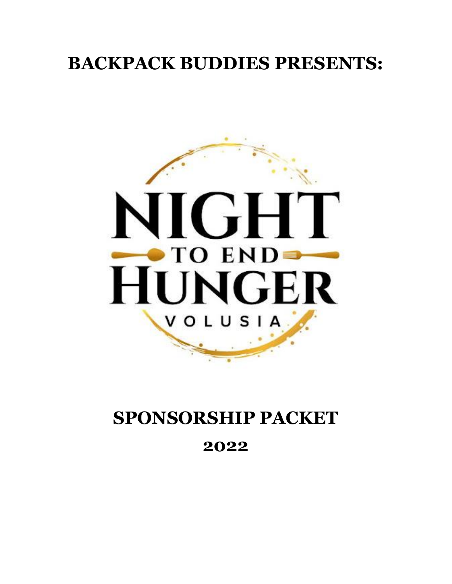### **BACKPACK BUDDIES PRESENTS:**



## **SPONSORSHIP PACKET 2022**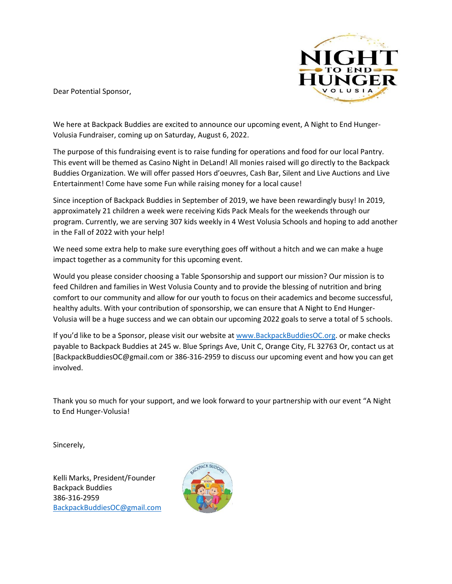

Dear Potential Sponsor,

We here at Backpack Buddies are excited to announce our upcoming event, A Night to End Hunger-Volusia Fundraiser, coming up on Saturday, August 6, 2022.

The purpose of this fundraising event is to raise funding for operations and food for our local Pantry. This event will be themed as Casino Night in DeLand! All monies raised will go directly to the Backpack Buddies Organization. We will offer passed Hors d'oeuvres, Cash Bar, Silent and Live Auctions and Live Entertainment! Come have some Fun while raising money for a local cause!

Since inception of Backpack Buddies in September of 2019, we have been rewardingly busy! In 2019, approximately 21 children a week were receiving Kids Pack Meals for the weekends through our program. Currently, we are serving 307 kids weekly in 4 West Volusia Schools and hoping to add another in the Fall of 2022 with your help!

We need some extra help to make sure everything goes off without a hitch and we can make a huge impact together as a community for this upcoming event.

Would you please consider choosing a Table Sponsorship and support our mission? Our mission is to feed Children and families in West Volusia County and to provide the blessing of nutrition and bring comfort to our community and allow for our youth to focus on their academics and become successful, healthy adults. With your contribution of sponsorship, we can ensure that A Night to End Hunger-Volusia will be a huge success and we can obtain our upcoming 2022 goals to serve a total of 5 schools.

If you'd like to be a Sponsor, please visit our website at [www.BackpackBuddiesOC.org.](http://www.backpackbuddiesoc.org/) or make checks payable to Backpack Buddies at 245 w. Blue Springs Ave, Unit C, Orange City, FL 32763 Or, contact us at [BackpackBuddiesOC@gmail.com or 386-316-2959 to discuss our upcoming event and how you can get involved.

Thank you so much for your support, and we look forward to your partnership with our event "A Night to End Hunger-Volusia!

Sincerely,

Kelli Marks, President/Founder Backpack Buddies 386-316-2959 [BackpackBuddiesOC@gmail.com](mailto:BackpackBuddiesOC@gmail.com)